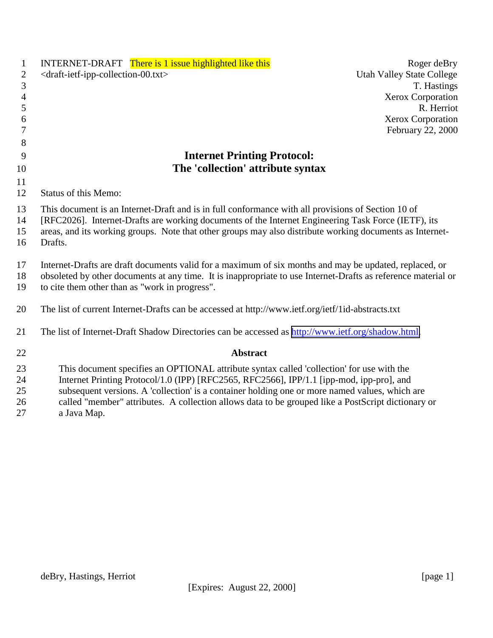| $\mathbf{1}$   | <b>INTERNET-DRAFT</b> There is 1 issue highlighted like this                                                                                                                               | Roger deBry                      |
|----------------|--------------------------------------------------------------------------------------------------------------------------------------------------------------------------------------------|----------------------------------|
| $\mathbf{2}$   | <draft-ietf-ipp-collection-00.txt></draft-ietf-ipp-collection-00.txt>                                                                                                                      | <b>Utah Valley State College</b> |
| 3              |                                                                                                                                                                                            | T. Hastings                      |
| $\overline{4}$ |                                                                                                                                                                                            | Xerox Corporation                |
| 5              |                                                                                                                                                                                            | R. Herriot                       |
| 6              |                                                                                                                                                                                            | Xerox Corporation                |
| 7              |                                                                                                                                                                                            | February 22, 2000                |
| 8              |                                                                                                                                                                                            |                                  |
| 9              | <b>Internet Printing Protocol:</b>                                                                                                                                                         |                                  |
| 10             | The 'collection' attribute syntax                                                                                                                                                          |                                  |
| 11             |                                                                                                                                                                                            |                                  |
| 12             | <b>Status of this Memo:</b>                                                                                                                                                                |                                  |
| 13             | This document is an Internet-Draft and is in full conformance with all provisions of Section 10 of                                                                                         |                                  |
| 14             | [RFC2026]. Internet-Drafts are working documents of the Internet Engineering Task Force (IETF), its                                                                                        |                                  |
| 15             | areas, and its working groups. Note that other groups may also distribute working documents as Internet-                                                                                   |                                  |
| 16             | Drafts.                                                                                                                                                                                    |                                  |
|                |                                                                                                                                                                                            |                                  |
| 17             | Internet-Drafts are draft documents valid for a maximum of six months and may be updated, replaced, or                                                                                     |                                  |
| 18             | obsoleted by other documents at any time. It is inappropriate to use Internet-Drafts as reference material or                                                                              |                                  |
| 19             | to cite them other than as "work in progress".                                                                                                                                             |                                  |
| 20             | The list of current Internet-Drafts can be accessed at http://www.ietf.org/ietf/1id-abstracts.txt                                                                                          |                                  |
|                |                                                                                                                                                                                            |                                  |
| 21             | The list of Internet-Draft Shadow Directories can be accessed as http://www.ietf.org/shadow.html.                                                                                          |                                  |
| 22             | <b>Abstract</b>                                                                                                                                                                            |                                  |
|                |                                                                                                                                                                                            |                                  |
| 23             | This document specifies an OPTIONAL attribute syntax called 'collection' for use with the                                                                                                  |                                  |
| 24<br>25       | Internet Printing Protocol/1.0 (IPP) [RFC2565, RFC2566], IPP/1.1 [ipp-mod, ipp-pro], and<br>subsequent versions. A 'collection' is a container holding one or more named values, which are |                                  |
| 26             | called "member" attributes. A collection allows data to be grouped like a PostScript dictionary or                                                                                         |                                  |
| 27             | a Java Map.                                                                                                                                                                                |                                  |
|                |                                                                                                                                                                                            |                                  |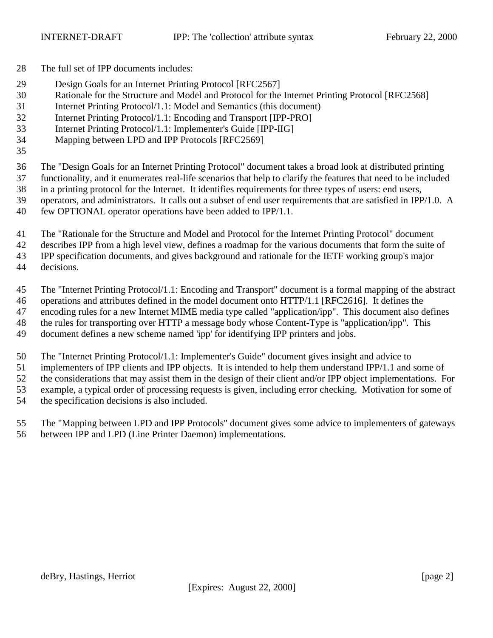- The full set of IPP documents includes:
- Design Goals for an Internet Printing Protocol [RFC2567]
- Rationale for the Structure and Model and Protocol for the Internet Printing Protocol [RFC2568]
- Internet Printing Protocol/1.1: Model and Semantics (this document)
- Internet Printing Protocol/1.1: Encoding and Transport [IPP-PRO]
- Internet Printing Protocol/1.1: Implementer's Guide [IPP-IIG]
- Mapping between LPD and IPP Protocols [RFC2569]
- 

The "Design Goals for an Internet Printing Protocol" document takes a broad look at distributed printing

- functionality, and it enumerates real-life scenarios that help to clarify the features that need to be included
- in a printing protocol for the Internet. It identifies requirements for three types of users: end users, operators, and administrators. It calls out a subset of end user requirements that are satisfied in IPP/1.0. A
- few OPTIONAL operator operations have been added to IPP/1.1.
	- The "Rationale for the Structure and Model and Protocol for the Internet Printing Protocol" document

describes IPP from a high level view, defines a roadmap for the various documents that form the suite of

IPP specification documents, and gives background and rationale for the IETF working group's major

decisions.

The "Internet Printing Protocol/1.1: Encoding and Transport" document is a formal mapping of the abstract

operations and attributes defined in the model document onto HTTP/1.1 [RFC2616]. It defines the

encoding rules for a new Internet MIME media type called "application/ipp". This document also defines

the rules for transporting over HTTP a message body whose Content-Type is "application/ipp". This

document defines a new scheme named 'ipp' for identifying IPP printers and jobs.

The "Internet Printing Protocol/1.1: Implementer's Guide" document gives insight and advice to

implementers of IPP clients and IPP objects. It is intended to help them understand IPP/1.1 and some of

the considerations that may assist them in the design of their client and/or IPP object implementations. For

example, a typical order of processing requests is given, including error checking. Motivation for some of

the specification decisions is also included.

 The "Mapping between LPD and IPP Protocols" document gives some advice to implementers of gateways between IPP and LPD (Line Printer Daemon) implementations.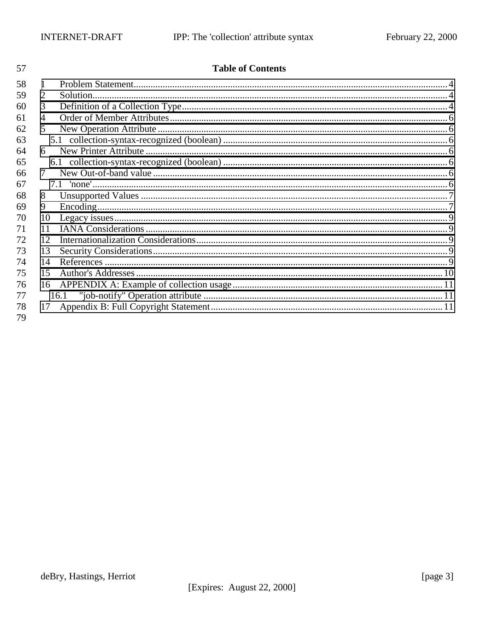| 57 |                 | <b>Table of Contents</b> |  |
|----|-----------------|--------------------------|--|
| 58 | 1               |                          |  |
| 59 | 2               | Solution.                |  |
| 60 | 3               |                          |  |
| 61 | 4               |                          |  |
| 62 | $\mathcal{F}$   |                          |  |
| 63 |                 |                          |  |
| 64 | 6               |                          |  |
| 65 |                 |                          |  |
| 66 | 7               |                          |  |
| 67 |                 |                          |  |
| 68 | 8               |                          |  |
| 69 | 9               |                          |  |
| 70 | 10              |                          |  |
| 71 | 11              |                          |  |
| 72 | 12 <sub>1</sub> |                          |  |
| 73 | 13              |                          |  |
| 74 | 14              |                          |  |
| 75 | 15              |                          |  |
| 76 | 16              |                          |  |
| 77 |                 | 16.1                     |  |
| 78 | 17              |                          |  |
| 79 |                 |                          |  |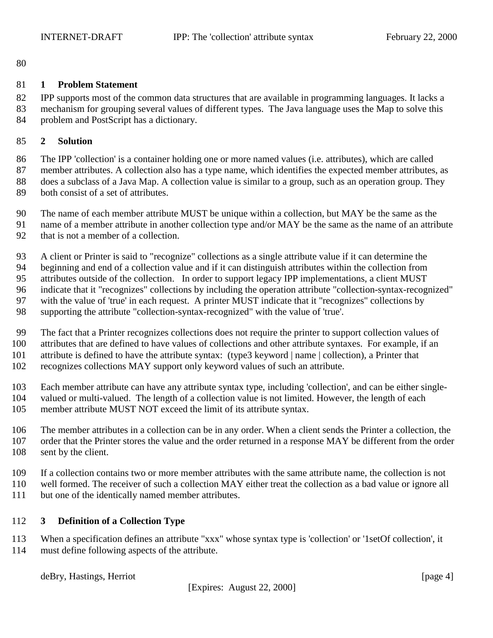<span id="page-3-0"></span>

## **1 Problem Statement**

 IPP supports most of the common data structures that are available in programming languages. It lacks a mechanism for grouping several values of different types. The Java language uses the Map to solve this problem and PostScript has a dictionary.

## **2 Solution**

 The IPP 'collection' is a container holding one or more named values (i.e. attributes), which are called member attributes. A collection also has a type name, which identifies the expected member attributes, as does a subclass of a Java Map. A collection value is similar to a group, such as an operation group. They both consist of a set of attributes.

- The name of each member attribute MUST be unique within a collection, but MAY be the same as the
- name of a member attribute in another collection type and/or MAY be the same as the name of an attribute
- that is not a member of a collection.

A client or Printer is said to "recognize" collections as a single attribute value if it can determine the

beginning and end of a collection value and if it can distinguish attributes within the collection from

 attributes outside of the collection. In order to support legacy IPP implementations, a client MUST indicate that it "recognizes" collections by including the operation attribute "collection-syntax-recognized"

with the value of 'true' in each request. A printer MUST indicate that it "recognizes" collections by

supporting the attribute "collection-syntax-recognized" with the value of 'true'.

The fact that a Printer recognizes collections does not require the printer to support collection values of

attributes that are defined to have values of collections and other attribute syntaxes. For example, if an

attribute is defined to have the attribute syntax: (type3 keyword | name | collection), a Printer that

recognizes collections MAY support only keyword values of such an attribute.

 Each member attribute can have any attribute syntax type, including 'collection', and can be either single- valued or multi-valued. The length of a collection value is not limited. However, the length of each member attribute MUST NOT exceed the limit of its attribute syntax.

 The member attributes in a collection can be in any order. When a client sends the Printer a collection, the order that the Printer stores the value and the order returned in a response MAY be different from the order 108 sent by the client.

- If a collection contains two or more member attributes with the same attribute name, the collection is not
- well formed. The receiver of such a collection MAY either treat the collection as a bad value or ignore all
- but one of the identically named member attributes.

# **3 Definition of a Collection Type**

 When a specification defines an attribute "xxx" whose syntax type is 'collection' or '1setOf collection', it must define following aspects of the attribute.

deBry, Hastings, Herriot [page 4]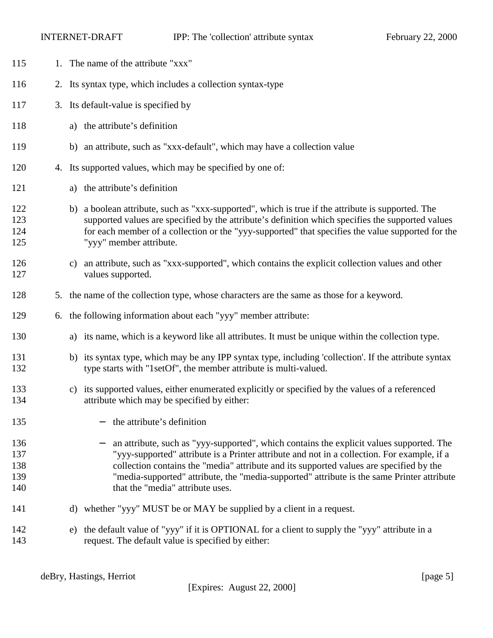- 115 1. The name of the attribute "xxx" 2. Its syntax type, which includes a collection syntax-type 3. Its default-value is specified by a) the attribute's definition b) an attribute, such as "xxx-default", which may have a collection value 4. Its supported values, which may be specified by one of: a) the attribute's definition b) a boolean attribute, such as "xxx-supported", which is true if the attribute is supported. The supported values are specified by the attribute's definition which specifies the supported values for each member of a collection or the "yyy-supported" that specifies the value supported for the "yyy" member attribute. c) an attribute, such as "xxx-supported", which contains the explicit collection values and other values supported. 5. the name of the collection type, whose characters are the same as those for a keyword. 6. the following information about each "yyy" member attribute: a) its name, which is a keyword like all attributes. It must be unique within the collection type. b) its syntax type, which may be any IPP syntax type, including 'collection'. If the attribute syntax type starts with "1setOf", the member attribute is multi-valued. c) its supported values, either enumerated explicitly or specified by the values of a referenced attribute which may be specified by either: − the attribute's definition − an attribute, such as "yyy-supported", which contains the explicit values supported. The "yyy-supported" attribute is a Printer attribute and not in a collection. For example, if a collection contains the "media" attribute and its supported values are specified by the "media-supported" attribute, the "media-supported" attribute is the same Printer attribute 140 that the "media" attribute uses. 141 d) whether "yyy" MUST be or MAY be supplied by a client in a request.
- e) the default value of "yyy" if it is OPTIONAL for a client to supply the "yyy" attribute in a request. The default value is specified by either: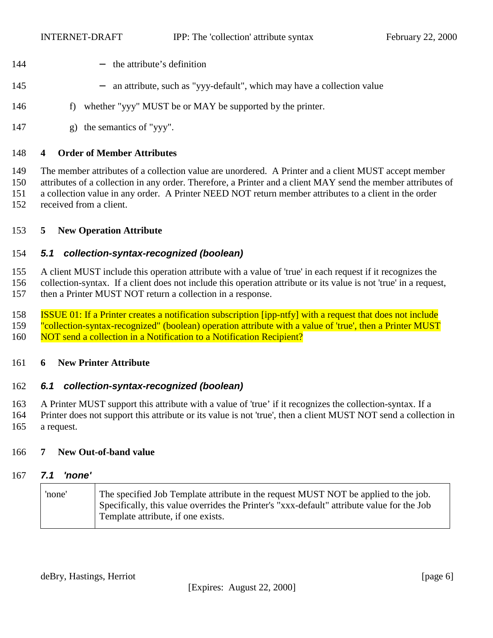- <span id="page-5-0"></span>144 − the attribute's definition
- − an attribute, such as "yyy-default", which may have a collection value
- 146 f) whether "yyy" MUST be or MAY be supported by the printer.
- g) the semantics of "yyy".

## **4 Order of Member Attributes**

 The member attributes of a collection value are unordered. A Printer and a client MUST accept member attributes of a collection in any order. Therefore, a Printer and a client MAY send the member attributes of a collection value in any order. A Printer NEED NOT return member attributes to a client in the order received from a client.

## **5 New Operation Attribute**

## *5.1 collection-syntax-recognized (boolean)*

A client MUST include this operation attribute with a value of 'true' in each request if it recognizes the

 collection-syntax. If a client does not include this operation attribute or its value is not 'true' in a request, then a Printer MUST NOT return a collection in a response.

 ISSUE 01: If a Printer creates a notification subscription [ipp-ntfy] with a request that does not include "collection-syntax-recognized" (boolean) operation attribute with a value of 'true', then a Printer MUST 160 NOT send a collection in a Notification to a Notification Recipient?

## **6 New Printer Attribute**

## *6.1 collection-syntax-recognized (boolean)*

 A Printer MUST support this attribute with a value of 'true' if it recognizes the collection-syntax. If a Printer does not support this attribute or its value is not 'true', then a client MUST NOT send a collection in a request.

## **7 New Out-of-band value**

#### *7.1 'none'*

| 'none' | The specified Job Template attribute in the request MUST NOT be applied to the job.<br>Specifically, this value overrides the Printer's "xxx-default" attribute value for the Job |
|--------|-----------------------------------------------------------------------------------------------------------------------------------------------------------------------------------|
|        | <sup>1</sup> Template attribute, if one exists.                                                                                                                                   |

deBry, Hastings, Herriot [page 6] [page 6]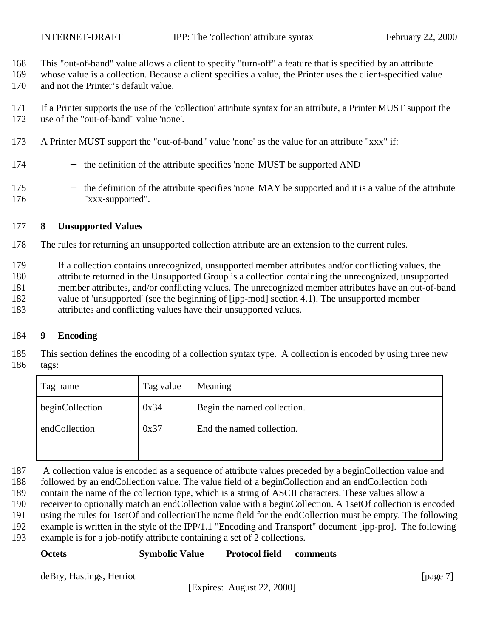<span id="page-6-0"></span>This "out-of-band" value allows a client to specify "turn-off" a feature that is specified by an attribute

 whose value is a collection. Because a client specifies a value, the Printer uses the client-specified value and not the Printer's default value.

 If a Printer supports the use of the 'collection' attribute syntax for an attribute, a Printer MUST support the use of the "out-of-band" value 'none'.

- A Printer MUST support the "out-of-band" value 'none' as the value for an attribute "xxx" if:
- − the definition of the attribute specifies 'none' MUST be supported AND
- − the definition of the attribute specifies 'none' MAY be supported and it is a value of the attribute "xxx-supported".

## **8 Unsupported Values**

- The rules for returning an unsupported collection attribute are an extension to the current rules.
- If a collection contains unrecognized, unsupported member attributes and/or conflicting values, the
- attribute returned in the Unsupported Group is a collection containing the unrecognized, unsupported
- member attributes, and/or conflicting values. The unrecognized member attributes have an out-of-band
- value of 'unsupported' (see the beginning of [ipp-mod] section 4.1). The unsupported member
- attributes and conflicting values have their unsupported values.

## **9 Encoding**

 This section defines the encoding of a collection syntax type. A collection is encoded by using three new tags:

| Tag name        | Tag value | Meaning                     |  |
|-----------------|-----------|-----------------------------|--|
| beginCollection | 0x34      | Begin the named collection. |  |
| endCollection   | 0x37      | End the named collection.   |  |
|                 |           |                             |  |

187 A collection value is encoded as a sequence of attribute values preceded by a beginCollection value and

followed by an endCollection value. The value field of a beginCollection and an endCollection both

contain the name of the collection type, which is a string of ASCII characters. These values allow a

receiver to optionally match an endCollection value with a beginCollection. A 1setOf collection is encoded

using the rules for 1setOf and collectionThe name field for the endCollection must be empty. The following

example is written in the style of the IPP/1.1 "Encoding and Transport" document [ipp-pro]. The following

example is for a job-notify attribute containing a set of 2 collections.

## **Octets Symbolic Value Protocol field comments**

deBry, Hastings, Herriot [page 7]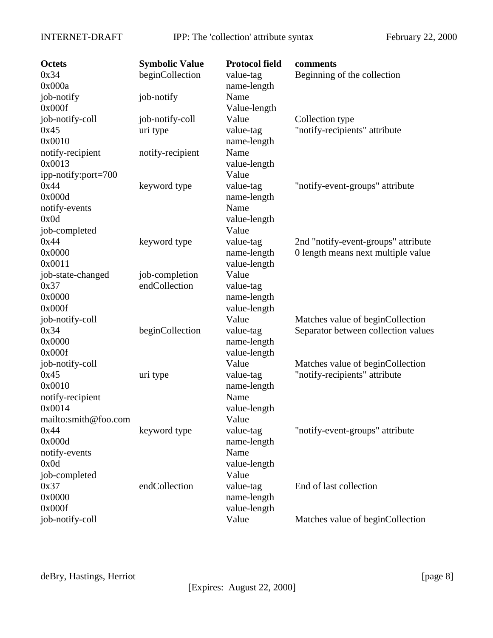| <b>Octets</b>        | <b>Symbolic Value</b> | <b>Protocol field</b> | comments                            |
|----------------------|-----------------------|-----------------------|-------------------------------------|
| 0x34                 | beginCollection       | value-tag             | Beginning of the collection         |
| 0x000a               |                       | name-length           |                                     |
| job-notify           | job-notify            | Name                  |                                     |
| 0x000f               |                       | Value-length          |                                     |
| job-notify-coll      | job-notify-coll       | Value                 | Collection type                     |
| 0x45                 | uri type              | value-tag             | "notify-recipients" attribute       |
| 0x0010               |                       | name-length           |                                     |
| notify-recipient     | notify-recipient      | Name                  |                                     |
| 0x0013               |                       | value-length          |                                     |
| ipp-notify:port=700  |                       | Value                 |                                     |
| 0x44                 | keyword type          | value-tag             | "notify-event-groups" attribute     |
| 0x000d               |                       | name-length           |                                     |
| notify-events        |                       | Name                  |                                     |
| 0x0d                 |                       | value-length          |                                     |
| job-completed        |                       | Value                 |                                     |
| 0x44                 | keyword type          | value-tag             | 2nd "notify-event-groups" attribute |
| 0x0000               |                       | name-length           | 0 length means next multiple value  |
| 0x0011               |                       | value-length          |                                     |
| job-state-changed    | job-completion        | Value                 |                                     |
| 0x37                 | endCollection         | value-tag             |                                     |
| 0x0000               |                       | name-length           |                                     |
| 0x000f               |                       | value-length          |                                     |
| job-notify-coll      |                       | Value                 | Matches value of beginCollection    |
| 0x34                 | beginCollection       | value-tag             | Separator between collection values |
| 0x0000               |                       | name-length           |                                     |
| 0x000f               |                       | value-length          |                                     |
| job-notify-coll      |                       | Value                 | Matches value of beginCollection    |
| 0x45                 | uri type              | value-tag             | "notify-recipients" attribute       |
| 0x0010               |                       | name-length           |                                     |
| notify-recipient     |                       | Name                  |                                     |
| 0x0014               |                       | value-length          |                                     |
| mailto:smith@foo.com |                       | Value                 |                                     |
| 0x44                 | keyword type          | value-tag             | "notify-event-groups" attribute     |
| 0x000d               |                       | name-length           |                                     |
| notify-events        |                       | Name                  |                                     |
| 0x0d                 |                       | value-length          |                                     |
| job-completed        |                       | Value                 |                                     |
| 0x37                 | endCollection         | value-tag             | End of last collection              |
| 0x0000               |                       | name-length           |                                     |
| 0x000f               |                       | value-length          |                                     |
| job-notify-coll      |                       | Value                 | Matches value of beginCollection    |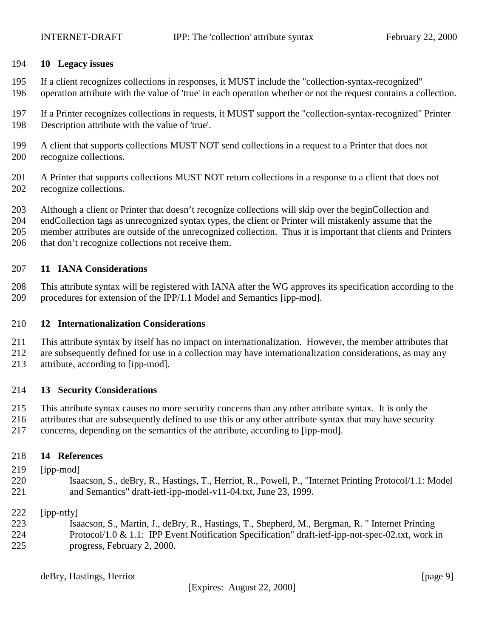## <span id="page-8-0"></span>**10 Legacy issues**

- If a client recognizes collections in responses, it MUST include the "collection-syntax-recognized"
- operation attribute with the value of 'true' in each operation whether or not the request contains a collection.
- If a Printer recognizes collections in requests, it MUST support the "collection-syntax-recognized" Printer Description attribute with the value of 'true'.
- A client that supports collections MUST NOT send collections in a request to a Printer that does not recognize collections.
- A Printer that supports collections MUST NOT return collections in a response to a client that does not recognize collections.
- Although a client or Printer that doesn't recognize collections will skip over the beginCollection and
- endCollection tags as unrecognized syntax types, the client or Printer will mistakenly assume that the
- member attributes are outside of the unrecognized collection. Thus it is important that clients and Printers
- 206 that don't recognize collections not receive them.

## **11 IANA Considerations**

 This attribute syntax will be registered with IANA after the WG approves its specification according to the procedures for extension of the IPP/1.1 Model and Semantics [ipp-mod].

## **12 Internationalization Considerations**

- This attribute syntax by itself has no impact on internationalization. However, the member attributes that
- are subsequently defined for use in a collection may have internationalization considerations, as may any
- attribute, according to [ipp-mod].

# **13 Security Considerations**

- This attribute syntax causes no more security concerns than any other attribute syntax. It is only the
- attributes that are subsequently defined to use this or any other attribute syntax that may have security
- concerns, depending on the semantics of the attribute, according to [ipp-mod].

## **14 References**

- [ipp-mod]
- Isaacson, S., deBry, R., Hastings, T., Herriot, R., Powell, P., "Internet Printing Protocol/1.1: Model and Semantics" draft-ietf-ipp-model-v11-04.txt, June 23, 1999.

## [ipp-ntfy]

 Isaacson, S., Martin, J., deBry, R., Hastings, T., Shepherd, M., Bergman, R. " Internet Printing Protocol/1.0 & 1.1: IPP Event Notification Specification" draft-ietf-ipp-not-spec-02.txt, work in progress, February 2, 2000.

deBry, Hastings, Herriot [page 9]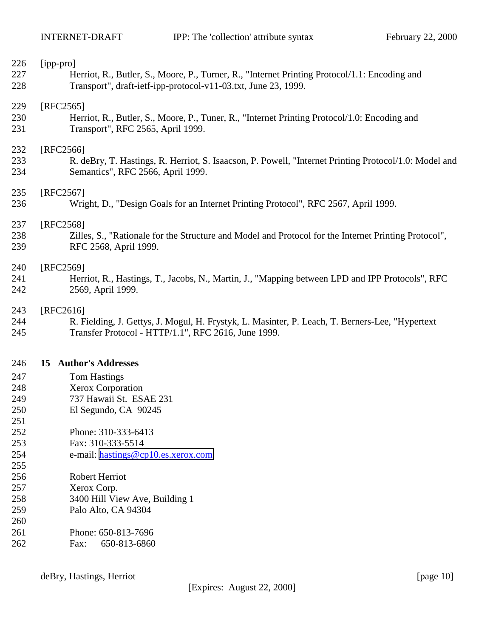<span id="page-9-0"></span>

| 226<br>227<br>228 | [ipp-pro]<br>Herriot, R., Butler, S., Moore, P., Turner, R., "Internet Printing Protocol/1.1: Encoding and<br>Transport", draft-ietf-ipp-protocol-v11-03.txt, June 23, 1999. |
|-------------------|------------------------------------------------------------------------------------------------------------------------------------------------------------------------------|
| 229<br>230<br>231 | $[RFC2565]$<br>Herriot, R., Butler, S., Moore, P., Tuner, R., "Internet Printing Protocol/1.0: Encoding and<br>Transport", RFC 2565, April 1999.                             |
| 232<br>233<br>234 | [RFC2566]<br>R. deBry, T. Hastings, R. Herriot, S. Isaacson, P. Powell, "Internet Printing Protocol/1.0: Model and<br>Semantics", RFC 2566, April 1999.                      |
| 235<br>236        | [RFC2567]<br>Wright, D., "Design Goals for an Internet Printing Protocol", RFC 2567, April 1999.                                                                             |
| 237<br>238<br>239 | [RFC2568]<br>Zilles, S., "Rationale for the Structure and Model and Protocol for the Internet Printing Protocol",<br>RFC 2568, April 1999.                                   |
| 240<br>241<br>242 | [RFC2569]<br>Herriot, R., Hastings, T., Jacobs, N., Martin, J., "Mapping between LPD and IPP Protocols", RFC<br>2569, April 1999.                                            |
| 243<br>244<br>245 | [RFC2616]<br>R. Fielding, J. Gettys, J. Mogul, H. Frystyk, L. Masinter, P. Leach, T. Berners-Lee, "Hypertext<br>Transfer Protocol - HTTP/1.1", RFC 2616, June 1999.          |
| 246               | 15 Author's Addresses                                                                                                                                                        |
| 247               | <b>Tom Hastings</b>                                                                                                                                                          |
| 248               | Xerox Corporation                                                                                                                                                            |
| 249               | 737 Hawaii St. ESAE 231                                                                                                                                                      |
| 250               | El Segundo, CA 90245                                                                                                                                                         |
| 251               |                                                                                                                                                                              |
| 252               | Phone: 310-333-6413                                                                                                                                                          |
| 253               | Fax: 310-333-5514                                                                                                                                                            |
| 254               | e-mail: hastings@cp10.es.xerox.com                                                                                                                                           |
| 255               |                                                                                                                                                                              |
| 256               | Robert Herriot                                                                                                                                                               |
| 257               | Xerox Corp.                                                                                                                                                                  |

- 3400 Hill View Ave, Building 1
- Palo Alto, CA 94304
- Phone: 650-813-7696 Fax: 650-813-6860

deBry, Hastings, Herriot [page 10]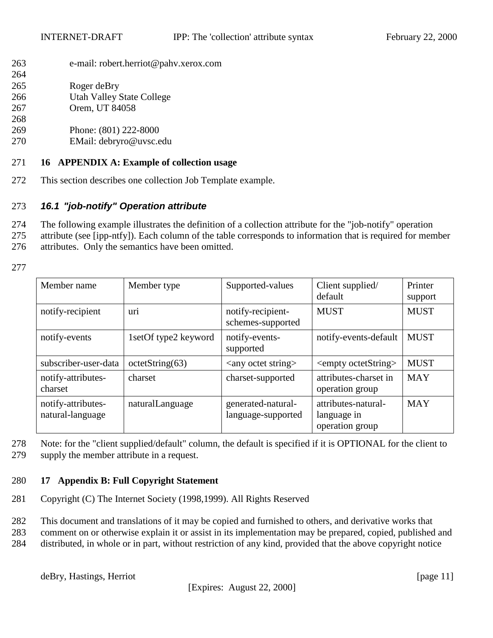<span id="page-10-0"></span>263 e-mail: robert.herriot@pahv.xerox.com

| ∠∪⊤ |                           |
|-----|---------------------------|
| 265 | Roger deBry               |
| 266 | Utah Valley State College |

- 267 Orem, UT 84058
- 268
- 269 Phone: (801) 222-8000
- 270 EMail: debryro@uvsc.edu

## 271 **16 APPENDIX A: Example of collection usage**

272 This section describes one collection Job Template example.

## 273 *16.1 "job-notify" Operation attribute*

- 274 The following example illustrates the definition of a collection attribute for the "job-notify" operation
- 275 attribute (see [ipp-ntfy]). Each column of the table corresponds to information that is required for member 276 attributes. Only the semantics have been omitted.
- 277

 $264$ 

| Member name                            | Member type          | Supported-values                         | Client supplied/<br>default                           | Printer<br>support |
|----------------------------------------|----------------------|------------------------------------------|-------------------------------------------------------|--------------------|
| notify-recipient                       | uri                  | notify-recipient-<br>schemes-supported   | <b>MUST</b>                                           | <b>MUST</b>        |
| notify-events                          | 1setOf type2 keyword | notify-events-<br>supported              | notify-events-default                                 | <b>MUST</b>        |
| subscriber-user-data                   | octetString(63)      | $\langle$ any octet string $>$           | <empty octetstring=""></empty>                        | <b>MUST</b>        |
| notify-attributes-<br>charset          | charset              | charset-supported                        | attributes-charset in<br>operation group              | <b>MAY</b>         |
| notify-attributes-<br>natural-language | naturalLanguage      | generated-natural-<br>language-supported | attributes-natural-<br>language in<br>operation group | <b>MAY</b>         |

278 Note: for the "client supplied/default" column, the default is specified if it is OPTIONAL for the client to 279 supply the member attribute in a request.

# 280 **17 Appendix B: Full Copyright Statement**

281 Copyright (C) The Internet Society (1998,1999). All Rights Reserved

282 This document and translations of it may be copied and furnished to others, and derivative works that

283 comment on or otherwise explain it or assist in its implementation may be prepared, copied, published and

284 distributed, in whole or in part, without restriction of any kind, provided that the above copyright notice